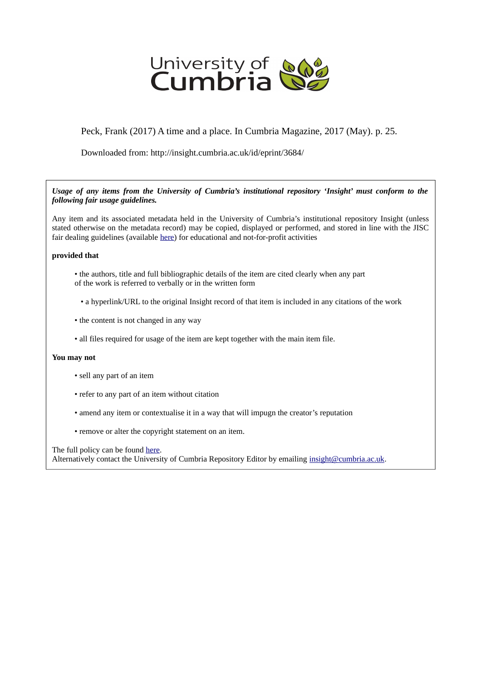

Peck, Frank (2017) A time and a place. In Cumbria Magazine, 2017 (May). p. 25.

Downloaded from: http://insight.cumbria.ac.uk/id/eprint/3684/

*Usage of any items from the University of Cumbria's institutional repository 'Insight' must conform to the following fair usage guidelines.*

Any item and its associated metadata held in the University of Cumbria's institutional repository Insight (unless stated otherwise on the metadata record) may be copied, displayed or performed, and stored in line with the JISC fair dealing guidelines (available [here\)](http://www.ukoln.ac.uk/services/elib/papers/pa/fair/) for educational and not-for-profit activities

## **provided that**

- the authors, title and full bibliographic details of the item are cited clearly when any part of the work is referred to verbally or in the written form
	- a hyperlink/URL to the original Insight record of that item is included in any citations of the work
- the content is not changed in any way
- all files required for usage of the item are kept together with the main item file.

## **You may not**

- sell any part of an item
- refer to any part of an item without citation
- amend any item or contextualise it in a way that will impugn the creator's reputation
- remove or alter the copyright statement on an item.

The full policy can be found [here.](http://insight.cumbria.ac.uk/legal.html#section5)

Alternatively contact the University of Cumbria Repository Editor by emailing [insight@cumbria.ac.uk.](mailto:insight@cumbria.ac.uk)